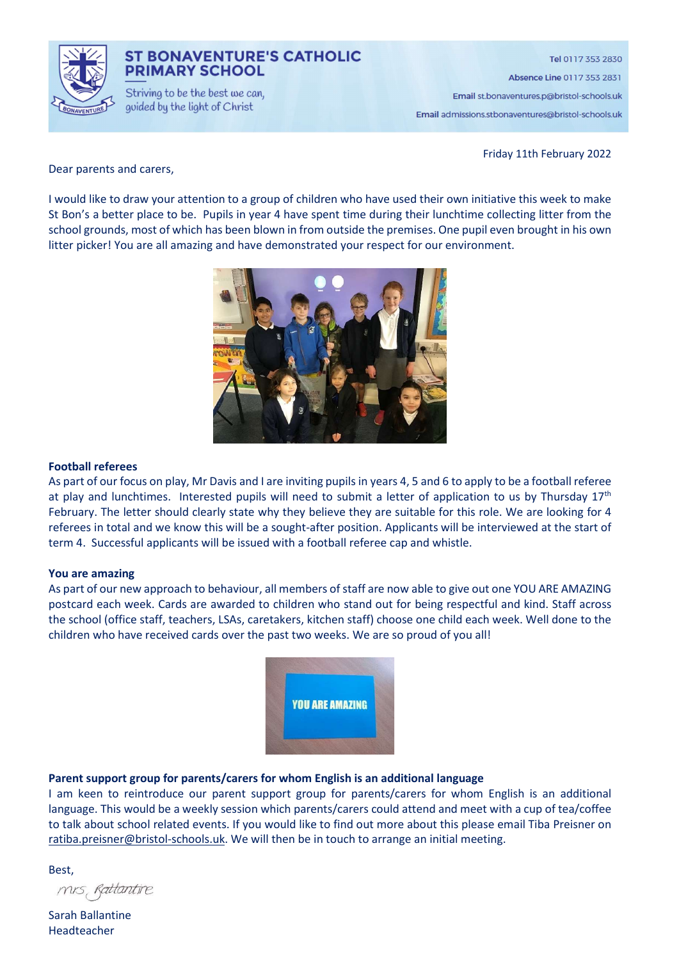

### **ST BONAVENTURE'S CATHOLIC PRIMARY SCHOOL**

Striving to be the best we can. guided by the light of Christ

Tel 0117 353 2830 Absence Line 0117 353 2831

Email st.bonaventures.p@bristol-schools.uk

Email admissions.stbonaventures@bristol-schools.uk

Friday 11th February 2022

Dear parents and carers,

I would like to draw your attention to a group of children who have used their own initiative this week to make St Bon's a better place to be. Pupils in year 4 have spent time during their lunchtime collecting litter from the school grounds, most of which has been blown in from outside the premises. One pupil even brought in his own litter picker! You are all amazing and have demonstrated your respect for our environment.



#### Football referees

As part of our focus on play, Mr Davis and I are inviting pupils in years 4, 5 and 6 to apply to be a football referee at play and lunchtimes. Interested pupils will need to submit a letter of application to us by Thursday 17<sup>th</sup> February. The letter should clearly state why they believe they are suitable for this role. We are looking for 4 referees in total and we know this will be a sought-after position. Applicants will be interviewed at the start of term 4. Successful applicants will be issued with a football referee cap and whistle.

#### You are amazing

As part of our new approach to behaviour, all members of staff are now able to give out one YOU ARE AMAZING postcard each week. Cards are awarded to children who stand out for being respectful and kind. Staff across the school (office staff, teachers, LSAs, caretakers, kitchen staff) choose one child each week. Well done to the children who have received cards over the past two weeks. We are so proud of you all!



### Parent support group for parents/carers for whom English is an additional language

I am keen to reintroduce our parent support group for parents/carers for whom English is an additional language. This would be a weekly session which parents/carers could attend and meet with a cup of tea/coffee to talk about school related events. If you would like to find out more about this please email Tiba Preisner on ratiba.preisner@bristol-schools.uk. We will then be in touch to arrange an initial meeting.

Best,

mis, Rattantire

Sarah Ballantine Headteacher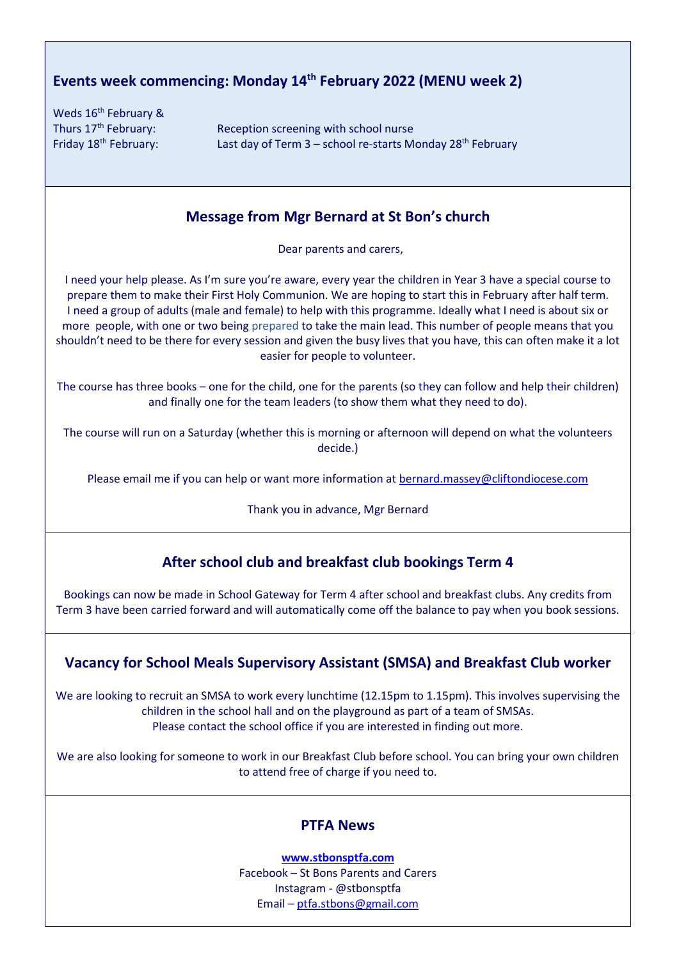# Events week commencing: Monday 14th February 2022 (MENU week 2)

Weds 16<sup>th</sup> February &

Thurs  $17<sup>th</sup>$  February: Reception screening with school nurse Friday  $18^{th}$  February: Last day of Term 3 – school re-starts Monday  $28^{th}$  February

### Message from Mgr Bernard at St Bon's church

Dear parents and carers,

I need your help please. As I'm sure you're aware, every year the children in Year 3 have a special course to prepare them to make their First Holy Communion. We are hoping to start this in February after half term. I need a group of adults (male and female) to help with this programme. Ideally what I need is about six or more people, with one or two being prepared to take the main lead. This number of people means that you shouldn't need to be there for every session and given the busy lives that you have, this can often make it a lot easier for people to volunteer.

The course has three books – one for the child, one for the parents (so they can follow and help their children) and finally one for the team leaders (to show them what they need to do).

The course will run on a Saturday (whether this is morning or afternoon will depend on what the volunteers decide.)

Please email me if you can help or want more information at bernard.massey@cliftondiocese.com

Thank you in advance, Mgr Bernard

# After school club and breakfast club bookings Term 4

Bookings can now be made in School Gateway for Term 4 after school and breakfast clubs. Any credits from Term 3 have been carried forward and will automatically come off the balance to pay when you book sessions.

# Vacancy for School Meals Supervisory Assistant (SMSA) and Breakfast Club worker

We are looking to recruit an SMSA to work every lunchtime (12.15pm to 1.15pm). This involves supervising the children in the school hall and on the playground as part of a team of SMSAs. Please contact the school office if you are interested in finding out more.

We are also looking for someone to work in our Breakfast Club before school. You can bring your own children to attend free of charge if you need to.

# PTFA News

www.stbonsptfa.com Facebook – St Bons Parents and Carers Instagram - @stbonsptfa Email – ptfa.stbons@gmail.com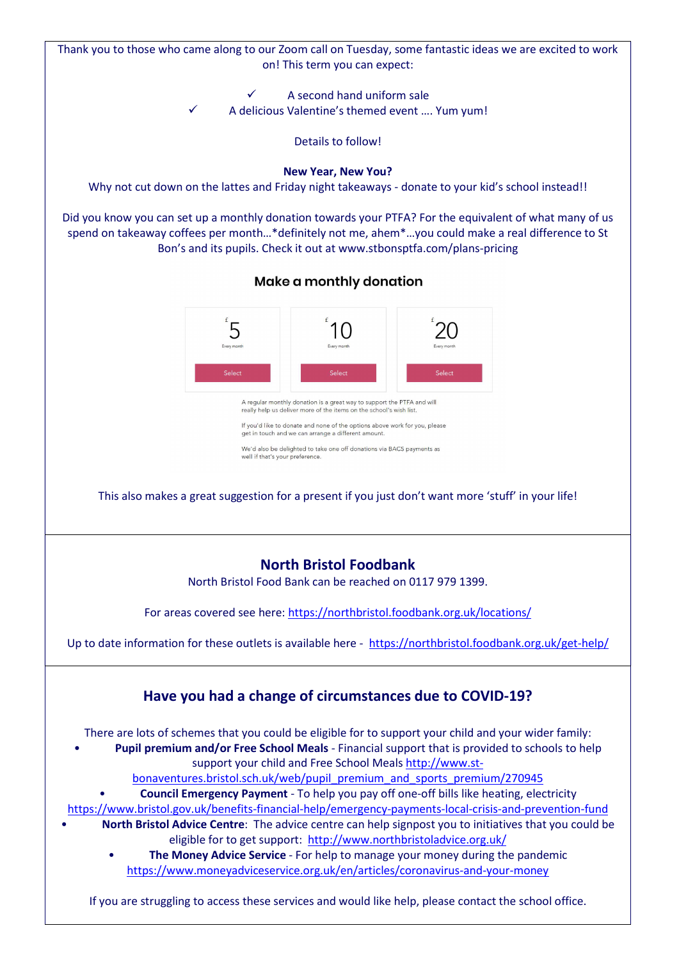